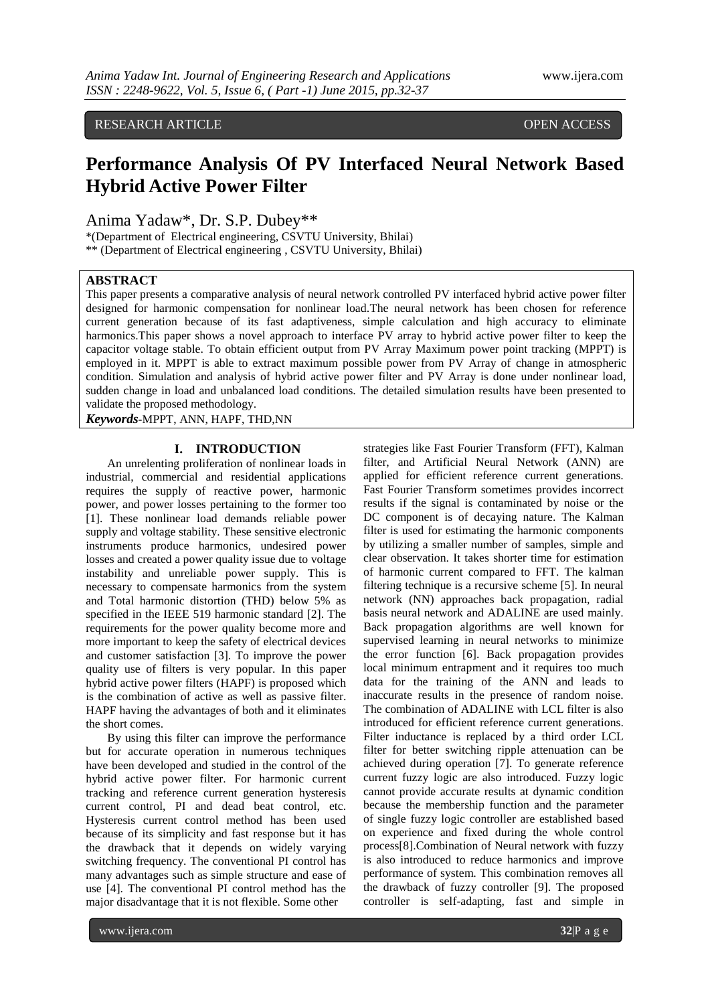## RESEARCH ARTICLE OPEN ACCESS

# **Performance Analysis Of PV Interfaced Neural Network Based Hybrid Active Power Filter**

Anima Yadaw\*, Dr. S.P. Dubey\*\*

\*(Department of Electrical engineering, CSVTU University, Bhilai)

\*\* (Department of Electrical engineering , CSVTU University, Bhilai)

## **ABSTRACT**

This paper presents a comparative analysis of neural network controlled PV interfaced hybrid active power filter designed for harmonic compensation for nonlinear load.The neural network has been chosen for reference current generation because of its fast adaptiveness, simple calculation and high accuracy to eliminate harmonics.This paper shows a novel approach to interface PV array to hybrid active power filter to keep the capacitor voltage stable. To obtain efficient output from PV Array Maximum power point tracking (MPPT) is employed in it. MPPT is able to extract maximum possible power from PV Array of change in atmospheric condition. Simulation and analysis of hybrid active power filter and PV Array is done under nonlinear load, sudden change in load and unbalanced load conditions. The detailed simulation results have been presented to validate the proposed methodology.

*Keywords***-**MPPT, ANN, HAPF, THD,NN

## **I. INTRODUCTION**

An unrelenting proliferation of nonlinear loads in industrial, commercial and residential applications requires the supply of reactive power, harmonic power, and power losses pertaining to the former too [1]. These nonlinear load demands reliable power supply and voltage stability. These sensitive electronic instruments produce harmonics, undesired power losses and created a power quality issue due to voltage instability and unreliable power supply. This is necessary to compensate harmonics from the system and Total harmonic distortion (THD) below 5% as specified in the IEEE 519 harmonic standard [2]. The requirements for the power quality become more and more important to keep the safety of electrical devices and customer satisfaction [3]. To improve the power quality use of filters is very popular. In this paper hybrid active power filters (HAPF) is proposed which is the combination of active as well as passive filter. HAPF having the advantages of both and it eliminates the short comes.

By using this filter can improve the performance but for accurate operation in numerous techniques have been developed and studied in the control of the hybrid active power filter. For harmonic current tracking and reference current generation hysteresis current control, PI and dead beat control, etc. Hysteresis current control method has been used because of its simplicity and fast response but it has the drawback that it depends on widely varying switching frequency. The conventional PI control has many advantages such as simple structure and ease of use [4]. The conventional PI control method has the major disadvantage that it is not flexible. Some other

strategies like Fast Fourier Transform (FFT), Kalman filter, and Artificial Neural Network (ANN) are applied for efficient reference current generations. Fast Fourier Transform sometimes provides incorrect results if the signal is contaminated by noise or the DC component is of decaying nature. The Kalman filter is used for estimating the harmonic components by utilizing a smaller number of samples, simple and clear observation. It takes shorter time for estimation of harmonic current compared to FFT. The kalman filtering technique is a recursive scheme [5]. In neural network (NN) approaches back propagation, radial basis neural network and ADALINE are used mainly. Back propagation algorithms are well known for supervised learning in neural networks to minimize the error function [6]. Back propagation provides local minimum entrapment and it requires too much data for the training of the ANN and leads to inaccurate results in the presence of random noise. The combination of ADALINE with LCL filter is also introduced for efficient reference current generations. Filter inductance is replaced by a third order LCL filter for better switching ripple attenuation can be achieved during operation [7]. To generate reference current fuzzy logic are also introduced. Fuzzy logic cannot provide accurate results at dynamic condition because the membership function and the parameter of single fuzzy logic controller are established based on experience and fixed during the whole control process[8].Combination of Neural network with fuzzy is also introduced to reduce harmonics and improve performance of system. This combination removes all the drawback of fuzzy controller [9]. The proposed controller is self-adapting, fast and simple in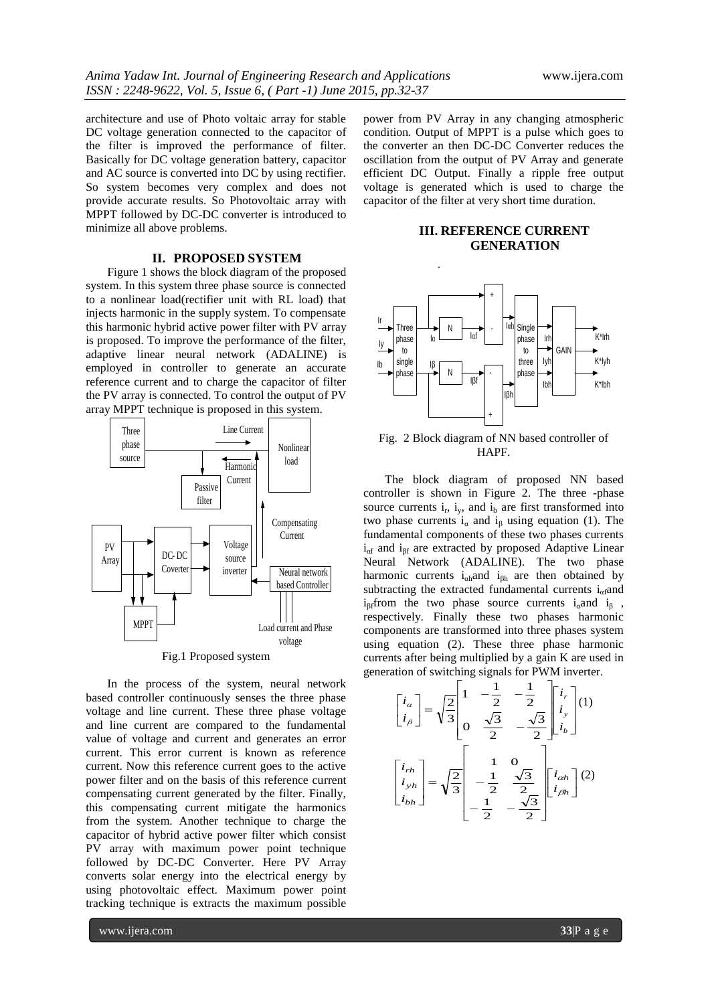architecture and use of Photo voltaic array for stable DC voltage generation connected to the capacitor of the filter is improved the performance of filter. Basically for DC voltage generation battery, capacitor and AC source is converted into DC by using rectifier. So system becomes very complex and does not provide accurate results. So Photovoltaic array with MPPT followed by DC-DC converter is introduced to minimize all above problems.

## **II. PROPOSED SYSTEM**

Figure 1 shows the block diagram of the proposed system. In this system three phase source is connected to a nonlinear load(rectifier unit with RL load) that injects harmonic in the supply system. To compensate this harmonic hybrid active power filter with PV array is proposed. To improve the performance of the filter, adaptive linear neural network (ADALINE) is employed in controller to generate an accurate reference current and to charge the capacitor of filter the PV array is connected. To control the output of PV array MPPT technique is proposed in this system.



Fig.1 Proposed system

In the process of the system, neural network based controller continuously senses the three phase voltage and line current. These three phase voltage and line current are compared to the fundamental value of voltage and current and generates an error current. This error current is known as reference current. Now this reference current goes to the active power filter and on the basis of this reference current compensating current generated by the filter. Finally, this compensating current mitigate the harmonics from the system. Another technique to charge the capacitor of hybrid active power filter which consist PV array with maximum power point technique followed by DC-DC Converter. Here PV Array converts solar energy into the electrical energy by using photovoltaic effect. Maximum power point tracking technique is extracts the maximum possible

power from PV Array in any changing atmospheric condition. Output of MPPT is a pulse which goes to the converter an then DC-DC Converter reduces the oscillation from the output of PV Array and generate efficient DC Output. Finally a ripple free output voltage is generated which is used to charge the capacitor of the filter at very short time duration.

## **III. REFERENCE CURRENT GENERATION**



Fig. 2 Block diagram of NN based controller of HAPF.

The block diagram of proposed NN based controller is shown in Figure 2. The three -phase source currents  $i_r$ ,  $i_y$ , and  $i_b$  are first transformed into two phase currents  $i_{\alpha}$  and  $i_{\beta}$  using equation (1). The fundamental components of these two phases currents  $i_{\alpha f}$  and  $i_{\beta f}$  are extracted by proposed Adaptive Linear Neural Network (ADALINE). The two phase harmonic currents  $i_{\alpha h}$  and  $i_{\beta h}$  are then obtained by subtracting the extracted fundamental currents  $i_{\alpha}$  and  $i_{\beta}$ from the two phase source currents  $i_{\alpha}$  and  $i_{\beta}$ , respectively. Finally these two phases harmonic components are transformed into three phases system using equation (2). These three phase harmonic currents after being multiplied by a gain K are used in generation of switching signals for PWM inverter.

$$
\begin{bmatrix} i_a \\ i_\beta \end{bmatrix} = \sqrt{\frac{2}{3}} \begin{bmatrix} 1 & -\frac{1}{2} & -\frac{1}{2} \\ 0 & \frac{\sqrt{3}}{2} & -\frac{\sqrt{3}}{2} \end{bmatrix} \begin{bmatrix} i_r \\ i_y \\ i_b \end{bmatrix} (1)
$$

$$
\begin{bmatrix} i_{rh} \\ i_{yh} \end{bmatrix} = \sqrt{\frac{2}{3}} \begin{bmatrix} 1 & 0 \\ -\frac{1}{2} & \frac{\sqrt{3}}{2} \\ -\frac{1}{2} & -\frac{\sqrt{3}}{2} \end{bmatrix} \begin{bmatrix} i_{ch} \\ i_{\beta h} \end{bmatrix} (2)
$$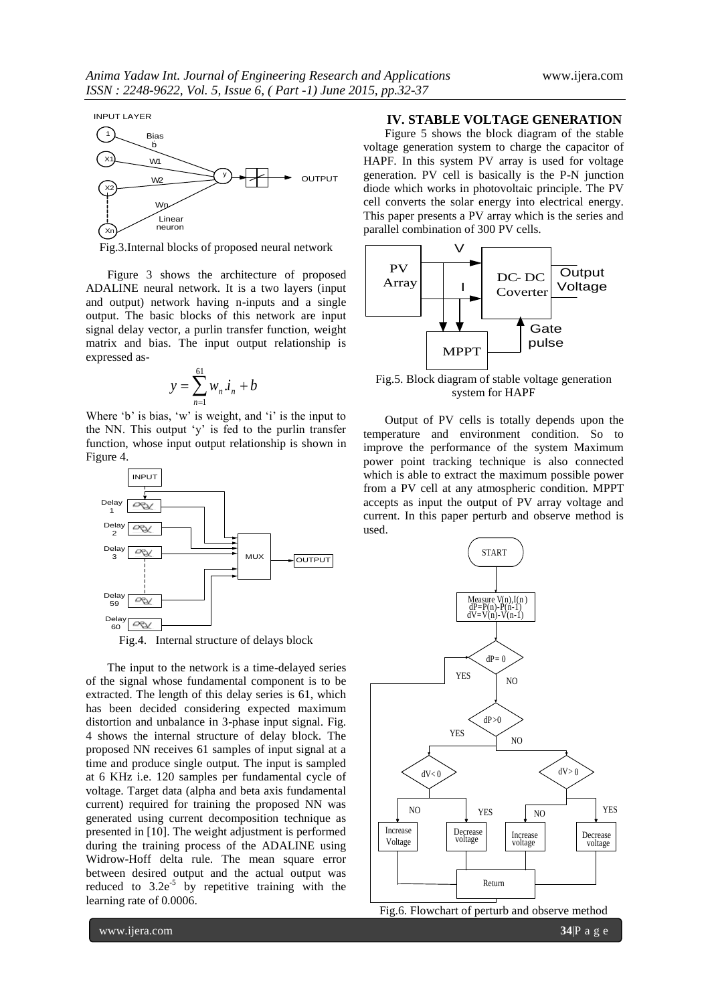

Fig.3.Internal blocks of proposed neural network

Figure 3 shows the architecture of proposed ADALINE neural network. It is a two layers (input and output) network having n-inputs and a single output. The basic blocks of this network are input signal delay vector, a purlin transfer function, weight matrix and bias. The input output relationship is expressed as-

$$
y = \sum_{n=1}^{61} w_n \dot{x}_n + b
$$

Where  $b'$  is bias,  $w'$  is weight, and  $i'$  is the input to the NN. This output 'y' is fed to the purlin transfer function, whose input output relationship is shown in Figure 4.



Fig.4. Internal structure of delays block

The input to the network is a time-delayed series of the signal whose fundamental component is to be extracted. The length of this delay series is 61, which has been decided considering expected maximum distortion and unbalance in 3-phase input signal. Fig. 4 shows the internal structure of delay block. The proposed NN receives 61 samples of input signal at a time and produce single output. The input is sampled at 6 KHz i.e. 120 samples per fundamental cycle of voltage. Target data (alpha and beta axis fundamental current) required for training the proposed NN was generated using current decomposition technique as presented in [10]. The weight adjustment is performed during the training process of the ADALINE using Widrow-Hoff delta rule. The mean square error between desired output and the actual output was reduced to  $3.2e^{-5}$  by repetitive training with the learning rate of 0.0006.

### **IV. STABLE VOLTAGE GENERATION**

Figure 5 shows the block diagram of the stable voltage generation system to charge the capacitor of HAPF. In this system PV array is used for voltage generation. PV cell is basically is the P-N junction diode which works in photovoltaic principle. The PV cell converts the solar energy into electrical energy. This paper presents a PV array which is the series and parallel combination of 300 PV cells.



Fig.5. Block diagram of stable voltage generation system for HAPF

Output of PV cells is totally depends upon the temperature and environment condition. So to improve the performance of the system Maximum power point tracking technique is also connected which is able to extract the maximum possible power from a PV cell at any atmospheric condition. MPPT accepts as input the output of PV array voltage and current. In this paper perturb and observe method is used.

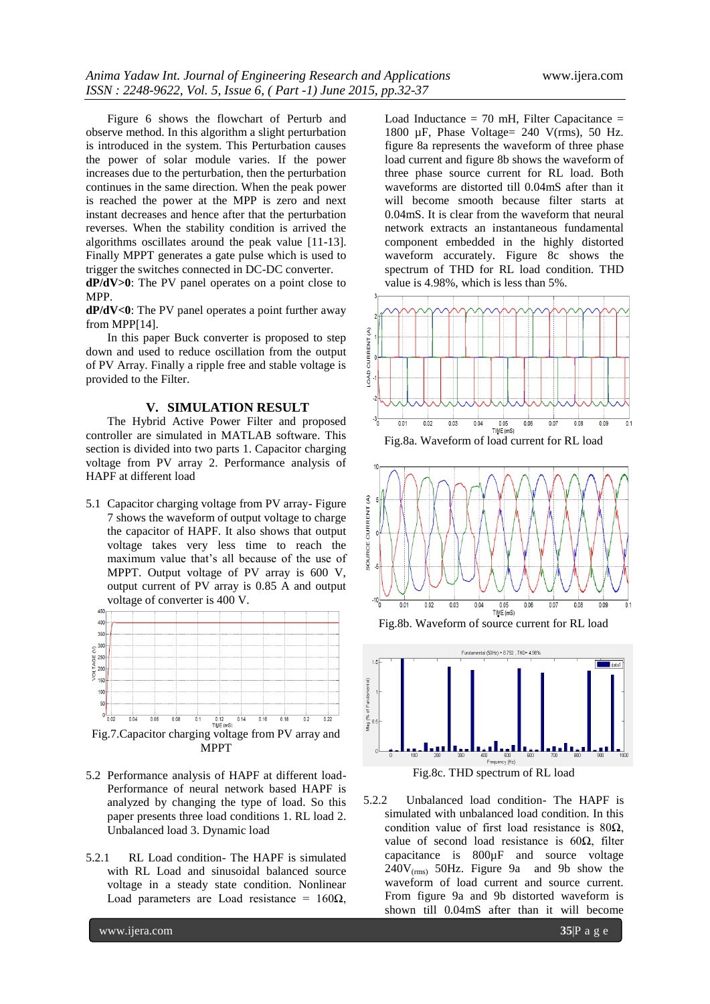Figure 6 shows the flowchart of Perturb and observe method. In this algorithm a slight perturbation is introduced in the system. This Perturbation causes the power of solar module varies. If the power increases due to the perturbation, then the perturbation continues in the same direction. When the peak power is reached the power at the MPP is zero and next instant decreases and hence after that the perturbation reverses. When the stability condition is arrived the algorithms oscillates around the peak value [11-13]. Finally MPPT generates a gate pulse which is used to trigger the switches connected in DC-DC converter.

**dP/dV>0**: The PV panel operates on a point close to MPP.

**dP/dV<0**: The PV panel operates a point further away from MPP[14].

In this paper Buck converter is proposed to step down and used to reduce oscillation from the output of PV Array. Finally a ripple free and stable voltage is provided to the Filter.

#### **V. SIMULATION RESULT**

The Hybrid Active Power Filter and proposed controller are simulated in MATLAB software. This section is divided into two parts 1. Capacitor charging voltage from PV array 2. Performance analysis of HAPF at different load

5.1 Capacitor charging voltage from PV array- Figure 7 shows the waveform of output voltage to charge the capacitor of HAPF. It also shows that output voltage takes very less time to reach the maximum value that"s all because of the use of MPPT. Output voltage of PV array is 600 V, output current of PV array is 0.85 A and output voltage of converter is 400 V.



- 5.2 Performance analysis of HAPF at different load-Performance of neural network based HAPF is analyzed by changing the type of load. So this paper presents three load conditions 1. RL load 2. Unbalanced load 3. Dynamic load
- 5.2.1 RL Load condition- The HAPF is simulated with RL Load and sinusoidal balanced source voltage in a steady state condition. Nonlinear Load parameters are Load resistance =  $160\Omega$ ,

Load Inductance  $= 70$  mH, Filter Capacitance  $=$ 1800 µF, Phase Voltage= 240 V(rms), 50 Hz. figure 8a represents the waveform of three phase load current and figure 8b shows the waveform of three phase source current for RL load. Both waveforms are distorted till 0.04mS after than it will become smooth because filter starts at 0.04mS. It is clear from the waveform that neural network extracts an instantaneous fundamental component embedded in the highly distorted waveform accurately. Figure 8c shows the spectrum of THD for RL load condition. THD value is 4.98%, which is less than 5%.









5.2.2 Unbalanced load condition- The HAPF is simulated with unbalanced load condition. In this condition value of first load resistance is  $80\Omega$ , value of second load resistance is  $60\Omega$ , filter capacitance is 800µF and source voltage  $240V<sub>(rms)</sub>$  50Hz. Figure 9a and 9b show the waveform of load current and source current. From figure 9a and 9b distorted waveform is shown till 0.04mS after than it will become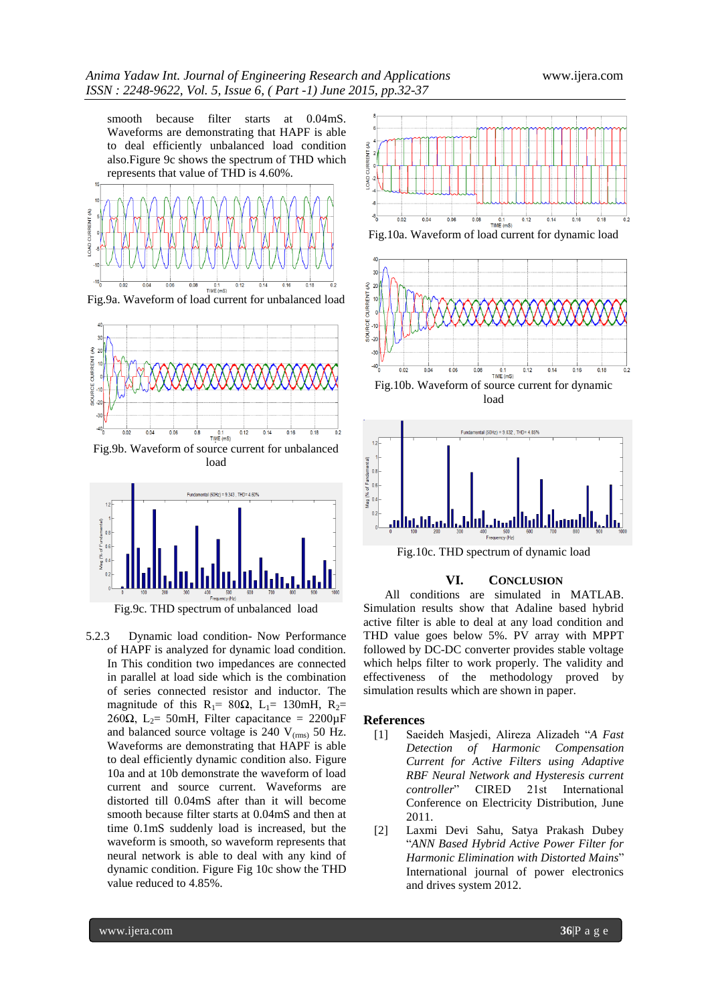smooth because filter starts at 0.04mS. Waveforms are demonstrating that HAPF is able to deal efficiently unbalanced load condition also.Figure 9c shows the spectrum of THD which represents that value of THD is 4.60%.











Fig.9c. THD spectrum of unbalanced load

5.2.3 Dynamic load condition- Now Performance of HAPF is analyzed for dynamic load condition. In This condition two impedances are connected in parallel at load side which is the combination of series connected resistor and inductor. The magnitude of this R<sub>1</sub>= 80 $\Omega$ , L<sub>1</sub>= 130mH, R<sub>2</sub>= 260 $\Omega$ , L<sub>2</sub>= 50mH, Filter capacitance = 2200 $\mu$ F and balanced source voltage is 240  $V_{(rms)}$  50 Hz. Waveforms are demonstrating that HAPF is able to deal efficiently dynamic condition also. Figure 10a and at 10b demonstrate the waveform of load current and source current. Waveforms are distorted till 0.04mS after than it will become smooth because filter starts at 0.04mS and then at time 0.1mS suddenly load is increased, but the waveform is smooth, so waveform represents that neural network is able to deal with any kind of dynamic condition. Figure Fig 10c show the THD value reduced to 4.85%.





load



Fig.10c. THD spectrum of dynamic load

#### **VI. CONCLUSION**

All conditions are simulated in MATLAB. Simulation results show that Adaline based hybrid active filter is able to deal at any load condition and THD value goes below 5%. PV array with MPPT followed by DC-DC converter provides stable voltage which helps filter to work properly. The validity and effectiveness of the methodology proved by simulation results which are shown in paper.

#### **References**

- [1] Saeideh Masjedi, Alireza Alizadeh "*A Fast Detection of Harmonic Compensation Current for Active Filters using Adaptive RBF Neural Network and Hysteresis current controller*" CIRED 21st International Conference on Electricity Distribution, June 2011.
- [2] Laxmi Devi Sahu, Satya Prakash Dubey "*ANN Based Hybrid Active Power Filter for Harmonic Elimination with Distorted Mains*" International journal of power electronics and drives system 2012.